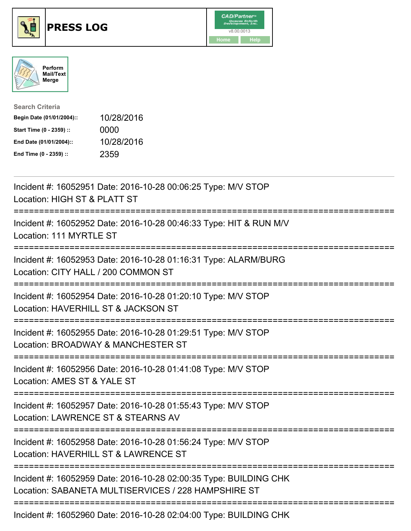





| <b>Search Criteria</b>    |            |
|---------------------------|------------|
| Begin Date (01/01/2004):: | 10/28/2016 |
| Start Time (0 - 2359) ::  | 0000       |
| End Date (01/01/2004)::   | 10/28/2016 |
| End Time (0 - 2359) ::    | 2359       |

| Incident #: 16052951 Date: 2016-10-28 00:06:25 Type: M/V STOP<br>Location: HIGH ST & PLATT ST                                         |
|---------------------------------------------------------------------------------------------------------------------------------------|
| Incident #: 16052952 Date: 2016-10-28 00:46:33 Type: HIT & RUN M/V<br>Location: 111 MYRTLE ST                                         |
| Incident #: 16052953 Date: 2016-10-28 01:16:31 Type: ALARM/BURG<br>Location: CITY HALL / 200 COMMON ST                                |
| Incident #: 16052954 Date: 2016-10-28 01:20:10 Type: M/V STOP<br>Location: HAVERHILL ST & JACKSON ST<br>:=========================    |
| Incident #: 16052955 Date: 2016-10-28 01:29:51 Type: M/V STOP<br>Location: BROADWAY & MANCHESTER ST<br>:========================      |
| Incident #: 16052956 Date: 2016-10-28 01:41:08 Type: M/V STOP<br>Location: AMES ST & YALE ST                                          |
| Incident #: 16052957 Date: 2016-10-28 01:55:43 Type: M/V STOP<br>Location: LAWRENCE ST & STEARNS AV<br>============================== |
| Incident #: 16052958 Date: 2016-10-28 01:56:24 Type: M/V STOP<br>Location: HAVERHILL ST & LAWRENCE ST                                 |
| Incident #: 16052959 Date: 2016-10-28 02:00:35 Type: BUILDING CHK<br>Location: SABANETA MULTISERVICES / 228 HAMPSHIRE ST              |
| Incident #: 16052960 Date: 2016-10-28 02:04:00 Type: BUILDING CHK                                                                     |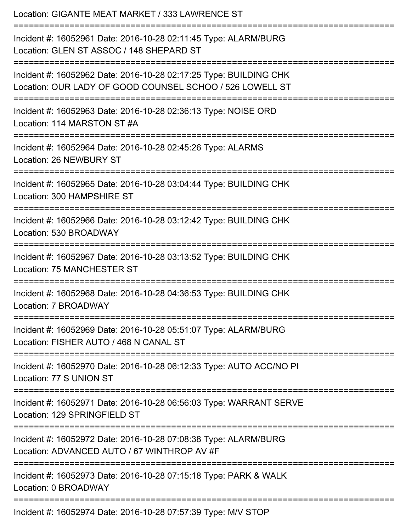| Location: GIGANTE MEAT MARKET / 333 LAWRENCE ST<br>:================================                                                    |
|-----------------------------------------------------------------------------------------------------------------------------------------|
| Incident #: 16052961 Date: 2016-10-28 02:11:45 Type: ALARM/BURG<br>Location: GLEN ST ASSOC / 148 SHEPARD ST<br>======================== |
| Incident #: 16052962 Date: 2016-10-28 02:17:25 Type: BUILDING CHK<br>Location: OUR LADY OF GOOD COUNSEL SCHOO / 526 LOWELL ST           |
| Incident #: 16052963 Date: 2016-10-28 02:36:13 Type: NOISE ORD<br>Location: 114 MARSTON ST #A                                           |
| Incident #: 16052964 Date: 2016-10-28 02:45:26 Type: ALARMS<br>Location: 26 NEWBURY ST                                                  |
| Incident #: 16052965 Date: 2016-10-28 03:04:44 Type: BUILDING CHK<br>Location: 300 HAMPSHIRE ST                                         |
| Incident #: 16052966 Date: 2016-10-28 03:12:42 Type: BUILDING CHK<br>Location: 530 BROADWAY                                             |
| Incident #: 16052967 Date: 2016-10-28 03:13:52 Type: BUILDING CHK<br>Location: 75 MANCHESTER ST                                         |
| Incident #: 16052968 Date: 2016-10-28 04:36:53 Type: BUILDING CHK<br>Location: 7 BROADWAY                                               |
| Incident #: 16052969 Date: 2016-10-28 05:51:07 Type: ALARM/BURG<br>Location: FISHER AUTO / 468 N CANAL ST                               |
| Incident #: 16052970 Date: 2016-10-28 06:12:33 Type: AUTO ACC/NO PI<br>Location: 77 S UNION ST                                          |
| Incident #: 16052971 Date: 2016-10-28 06:56:03 Type: WARRANT SERVE<br>Location: 129 SPRINGFIELD ST                                      |
| Incident #: 16052972 Date: 2016-10-28 07:08:38 Type: ALARM/BURG<br>Location: ADVANCED AUTO / 67 WINTHROP AV #F                          |
| Incident #: 16052973 Date: 2016-10-28 07:15:18 Type: PARK & WALK<br>Location: 0 BROADWAY                                                |
| Incident #: 16052974 Date: 2016-10-28 07:57:39 Type: M/V STOP                                                                           |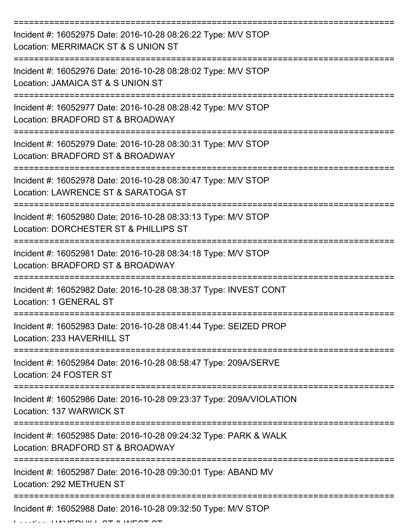| Incident #: 16052975 Date: 2016-10-28 08:26:22 Type: M/V STOP<br>Location: MERRIMACK ST & S UNION ST                                    |
|-----------------------------------------------------------------------------------------------------------------------------------------|
| Incident #: 16052976 Date: 2016-10-28 08:28:02 Type: M/V STOP<br>Location: JAMAICA ST & S UNION ST                                      |
| Incident #: 16052977 Date: 2016-10-28 08:28:42 Type: M/V STOP<br>Location: BRADFORD ST & BROADWAY                                       |
| Incident #: 16052979 Date: 2016-10-28 08:30:31 Type: M/V STOP<br>Location: BRADFORD ST & BROADWAY                                       |
| Incident #: 16052978 Date: 2016-10-28 08:30:47 Type: M/V STOP<br>Location: LAWRENCE ST & SARATOGA ST                                    |
| Incident #: 16052980 Date: 2016-10-28 08:33:13 Type: M/V STOP<br>Location: DORCHESTER ST & PHILLIPS ST                                  |
| Incident #: 16052981 Date: 2016-10-28 08:34:18 Type: M/V STOP<br>Location: BRADFORD ST & BROADWAY                                       |
| Incident #: 16052982 Date: 2016-10-28 08:38:37 Type: INVEST CONT<br>Location: 1 GENERAL ST                                              |
| Incident #: 16052983 Date: 2016-10-28 08:41:44 Type: SEIZED PROP<br>Location: 233 HAVERHILL ST                                          |
| Incident #: 16052984 Date: 2016-10-28 08:58:47 Type: 209A/SERVE<br>Location: 24 FOSTER ST                                               |
| Incident #: 16052986 Date: 2016-10-28 09:23:37 Type: 209A/VIOLATION<br>Location: 137 WARWICK ST<br>==================================== |
| Incident #: 16052985 Date: 2016-10-28 09:24:32 Type: PARK & WALK<br>Location: BRADFORD ST & BROADWAY                                    |
| Incident #: 16052987 Date: 2016-10-28 09:30:01 Type: ABAND MV<br>Location: 292 METHUEN ST                                               |
| Incident #: 16052988 Date: 2016-10-28 09:32:50 Type: M/V STOP                                                                           |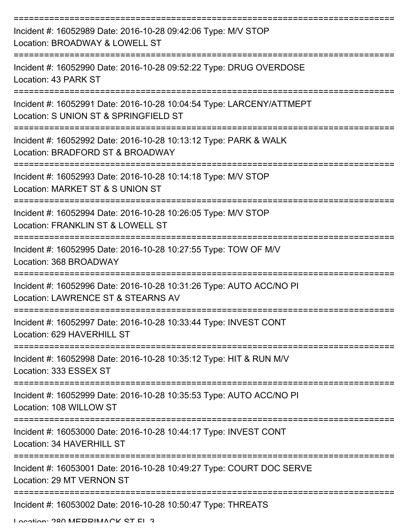| Incident #: 16052989 Date: 2016-10-28 09:42:06 Type: M/V STOP<br>Location: BROADWAY & LOWELL ST               |
|---------------------------------------------------------------------------------------------------------------|
| Incident #: 16052990 Date: 2016-10-28 09:52:22 Type: DRUG OVERDOSE<br>Location: 43 PARK ST                    |
| Incident #: 16052991 Date: 2016-10-28 10:04:54 Type: LARCENY/ATTMEPT<br>Location: S UNION ST & SPRINGFIELD ST |
| Incident #: 16052992 Date: 2016-10-28 10:13:12 Type: PARK & WALK<br>Location: BRADFORD ST & BROADWAY          |
| Incident #: 16052993 Date: 2016-10-28 10:14:18 Type: M/V STOP<br>Location: MARKET ST & S UNION ST             |
| Incident #: 16052994 Date: 2016-10-28 10:26:05 Type: M/V STOP<br>Location: FRANKLIN ST & LOWELL ST            |
| Incident #: 16052995 Date: 2016-10-28 10:27:55 Type: TOW OF M/V<br>Location: 368 BROADWAY                     |
| Incident #: 16052996 Date: 2016-10-28 10:31:26 Type: AUTO ACC/NO PI<br>Location: LAWRENCE ST & STEARNS AV     |
| Incident #: 16052997 Date: 2016-10-28 10:33:44 Type: INVEST CONT<br>Location: 629 HAVERHILL ST                |
| Incident #: 16052998 Date: 2016-10-28 10:35:12 Type: HIT & RUN M/V<br>Location: 333 ESSEX ST                  |
| Incident #: 16052999 Date: 2016-10-28 10:35:53 Type: AUTO ACC/NO PI<br>Location: 108 WILLOW ST                |
| Incident #: 16053000 Date: 2016-10-28 10:44:17 Type: INVEST CONT<br>Location: 34 HAVERHILL ST                 |
| Incident #: 16053001 Date: 2016-10-28 10:49:27 Type: COURT DOC SERVE<br>Location: 29 MT VERNON ST             |
| Incident #: 16053002 Date: 2016-10-28 10:50:47 Type: THREATS<br>I opation: 280 MEDDIMANCK CT EI 2             |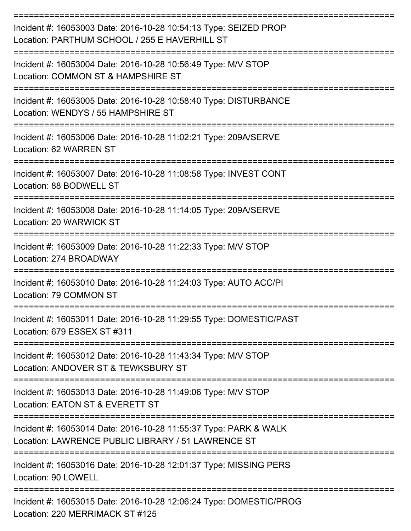| Incident #: 16053003 Date: 2016-10-28 10:54:13 Type: SEIZED PROP<br>Location: PARTHUM SCHOOL / 255 E HAVERHILL ST      |
|------------------------------------------------------------------------------------------------------------------------|
| Incident #: 16053004 Date: 2016-10-28 10:56:49 Type: M/V STOP<br>Location: COMMON ST & HAMPSHIRE ST                    |
| Incident #: 16053005 Date: 2016-10-28 10:58:40 Type: DISTURBANCE<br>Location: WENDYS / 55 HAMPSHIRE ST                 |
| Incident #: 16053006 Date: 2016-10-28 11:02:21 Type: 209A/SERVE<br>Location: 62 WARREN ST                              |
| Incident #: 16053007 Date: 2016-10-28 11:08:58 Type: INVEST CONT<br>Location: 88 BODWELL ST                            |
| Incident #: 16053008 Date: 2016-10-28 11:14:05 Type: 209A/SERVE<br>Location: 20 WARWICK ST                             |
| Incident #: 16053009 Date: 2016-10-28 11:22:33 Type: M/V STOP<br>Location: 274 BROADWAY                                |
| Incident #: 16053010 Date: 2016-10-28 11:24:03 Type: AUTO ACC/PI<br>Location: 79 COMMON ST                             |
| Incident #: 16053011 Date: 2016-10-28 11:29:55 Type: DOMESTIC/PAST<br>Location: 679 ESSEX ST #311                      |
| --------------<br>Incident #: 16053012 Date: 2016-10-28 11:43:34 Type: M/V STOP<br>Location: ANDOVER ST & TEWKSBURY ST |
| Incident #: 16053013 Date: 2016-10-28 11:49:06 Type: M/V STOP<br>Location: EATON ST & EVERETT ST                       |
| Incident #: 16053014 Date: 2016-10-28 11:55:37 Type: PARK & WALK<br>Location: LAWRENCE PUBLIC LIBRARY / 51 LAWRENCE ST |
| Incident #: 16053016 Date: 2016-10-28 12:01:37 Type: MISSING PERS<br><b>Location: 90 LOWELL</b>                        |
| Incident #: 16053015 Date: 2016-10-28 12:06:24 Type: DOMESTIC/PROG<br>Location: 220 MERRIMACK ST #125                  |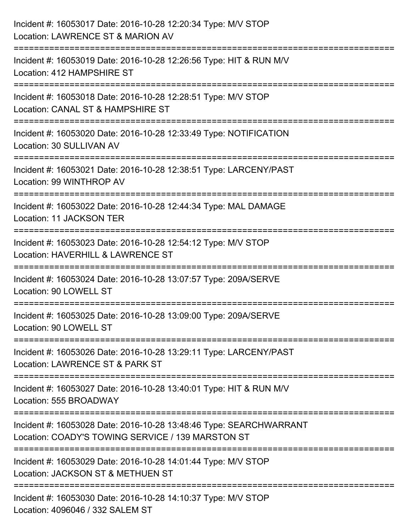| Incident #: 16053017 Date: 2016-10-28 12:20:34 Type: M/V STOP<br>Location: LAWRENCE ST & MARION AV                      |
|-------------------------------------------------------------------------------------------------------------------------|
| Incident #: 16053019 Date: 2016-10-28 12:26:56 Type: HIT & RUN M/V<br>Location: 412 HAMPSHIRE ST                        |
| Incident #: 16053018 Date: 2016-10-28 12:28:51 Type: M/V STOP<br>Location: CANAL ST & HAMPSHIRE ST                      |
| Incident #: 16053020 Date: 2016-10-28 12:33:49 Type: NOTIFICATION<br>Location: 30 SULLIVAN AV<br>------------------     |
| Incident #: 16053021 Date: 2016-10-28 12:38:51 Type: LARCENY/PAST<br>Location: 99 WINTHROP AV                           |
| Incident #: 16053022 Date: 2016-10-28 12:44:34 Type: MAL DAMAGE<br><b>Location: 11 JACKSON TER</b>                      |
| Incident #: 16053023 Date: 2016-10-28 12:54:12 Type: M/V STOP<br>Location: HAVERHILL & LAWRENCE ST                      |
| Incident #: 16053024 Date: 2016-10-28 13:07:57 Type: 209A/SERVE<br>Location: 90 LOWELL ST                               |
| Incident #: 16053025 Date: 2016-10-28 13:09:00 Type: 209A/SERVE<br>Location: 90 LOWELL ST                               |
| Incident #: 16053026 Date: 2016-10-28 13:29:11 Type: LARCENY/PAST<br>Location: LAWRENCE ST & PARK ST                    |
| Incident #: 16053027 Date: 2016-10-28 13:40:01 Type: HIT & RUN M/V<br>Location: 555 BROADWAY                            |
| Incident #: 16053028 Date: 2016-10-28 13:48:46 Type: SEARCHWARRANT<br>Location: COADY'S TOWING SERVICE / 139 MARSTON ST |
| Incident #: 16053029 Date: 2016-10-28 14:01:44 Type: M/V STOP<br>Location: JACKSON ST & METHUEN ST                      |
| Incident #: 16053030 Date: 2016-10-28 14:10:37 Type: M/V STOP<br>Location: 4096046 / 332 SALEM ST                       |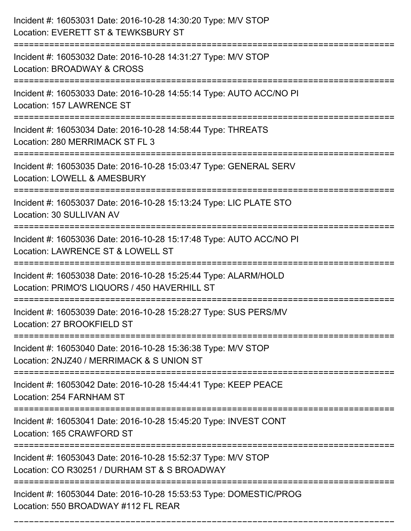| Incident #: 16053031 Date: 2016-10-28 14:30:20 Type: M/V STOP<br>Location: EVERETT ST & TEWKSBURY ST            |
|-----------------------------------------------------------------------------------------------------------------|
| Incident #: 16053032 Date: 2016-10-28 14:31:27 Type: M/V STOP<br>Location: BROADWAY & CROSS                     |
| Incident #: 16053033 Date: 2016-10-28 14:55:14 Type: AUTO ACC/NO PI<br>Location: 157 LAWRENCE ST                |
| Incident #: 16053034 Date: 2016-10-28 14:58:44 Type: THREATS<br>Location: 280 MERRIMACK ST FL 3                 |
| Incident #: 16053035 Date: 2016-10-28 15:03:47 Type: GENERAL SERV<br>Location: LOWELL & AMESBURY                |
| Incident #: 16053037 Date: 2016-10-28 15:13:24 Type: LIC PLATE STO<br>Location: 30 SULLIVAN AV                  |
| Incident #: 16053036 Date: 2016-10-28 15:17:48 Type: AUTO ACC/NO PI<br>Location: LAWRENCE ST & LOWELL ST        |
| Incident #: 16053038 Date: 2016-10-28 15:25:44 Type: ALARM/HOLD<br>Location: PRIMO'S LIQUORS / 450 HAVERHILL ST |
| Incident #: 16053039 Date: 2016-10-28 15:28:27 Type: SUS PERS/MV<br>Location: 27 BROOKFIELD ST                  |
| Incident #: 16053040 Date: 2016-10-28 15:36:38 Type: M/V STOP<br>Location: 2NJZ40 / MERRIMACK & S UNION ST      |
| Incident #: 16053042 Date: 2016-10-28 15:44:41 Type: KEEP PEACE<br>Location: 254 FARNHAM ST                     |
| Incident #: 16053041 Date: 2016-10-28 15:45:20 Type: INVEST CONT<br>Location: 165 CRAWFORD ST                   |
| Incident #: 16053043 Date: 2016-10-28 15:52:37 Type: M/V STOP<br>Location: CO R30251 / DURHAM ST & S BROADWAY   |
| Incident #: 16053044 Date: 2016-10-28 15:53:53 Type: DOMESTIC/PROG<br>Location: 550 BROADWAY #112 FL REAR       |

===========================================================================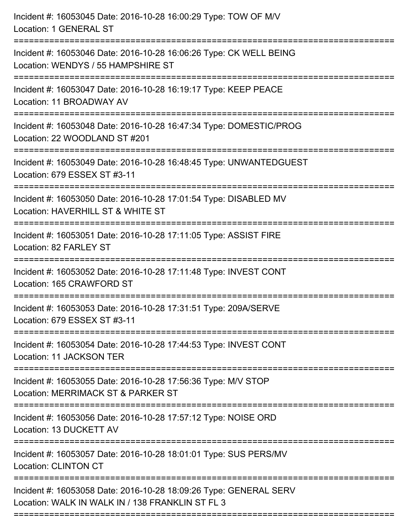| Incident #: 16053045 Date: 2016-10-28 16:00:29 Type: TOW OF M/V<br>Location: 1 GENERAL ST                             |
|-----------------------------------------------------------------------------------------------------------------------|
| Incident #: 16053046 Date: 2016-10-28 16:06:26 Type: CK WELL BEING<br>Location: WENDYS / 55 HAMPSHIRE ST              |
| Incident #: 16053047 Date: 2016-10-28 16:19:17 Type: KEEP PEACE<br>Location: 11 BROADWAY AV                           |
| Incident #: 16053048 Date: 2016-10-28 16:47:34 Type: DOMESTIC/PROG<br>Location: 22 WOODLAND ST #201                   |
| Incident #: 16053049 Date: 2016-10-28 16:48:45 Type: UNWANTEDGUEST<br>Location: 679 ESSEX ST #3-11                    |
| Incident #: 16053050 Date: 2016-10-28 17:01:54 Type: DISABLED MV<br>Location: HAVERHILL ST & WHITE ST                 |
| Incident #: 16053051 Date: 2016-10-28 17:11:05 Type: ASSIST FIRE<br>Location: 82 FARLEY ST                            |
| Incident #: 16053052 Date: 2016-10-28 17:11:48 Type: INVEST CONT<br>Location: 165 CRAWFORD ST                         |
| Incident #: 16053053 Date: 2016-10-28 17:31:51 Type: 209A/SERVE<br>Location: 679 ESSEX ST #3-11                       |
| Incident #: 16053054 Date: 2016-10-28 17:44:53 Type: INVEST CONT<br>Location: 11 JACKSON TER                          |
| Incident #: 16053055 Date: 2016-10-28 17:56:36 Type: M/V STOP<br>Location: MERRIMACK ST & PARKER ST                   |
| Incident #: 16053056 Date: 2016-10-28 17:57:12 Type: NOISE ORD<br>Location: 13 DUCKETT AV                             |
| Incident #: 16053057 Date: 2016-10-28 18:01:01 Type: SUS PERS/MV<br><b>Location: CLINTON CT</b>                       |
| Incident #: 16053058 Date: 2016-10-28 18:09:26 Type: GENERAL SERV<br>Location: WALK IN WALK IN / 138 FRANKLIN ST FL 3 |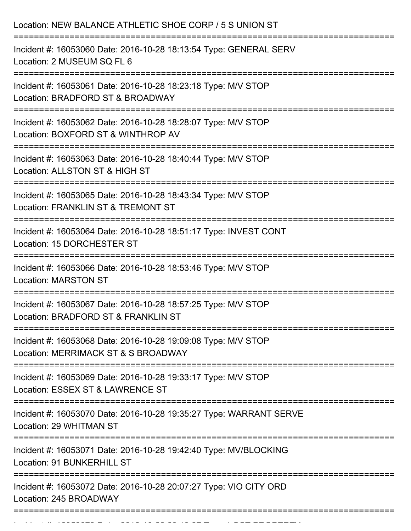| Location: NEW BALANCE ATHLETIC SHOE CORP / 5 S UNION ST                                                                                   |
|-------------------------------------------------------------------------------------------------------------------------------------------|
| Incident #: 16053060 Date: 2016-10-28 18:13:54 Type: GENERAL SERV<br>Location: 2 MUSEUM SQ FL 6<br>:===================================== |
| Incident #: 16053061 Date: 2016-10-28 18:23:18 Type: M/V STOP<br>Location: BRADFORD ST & BROADWAY<br>============================         |
| Incident #: 16053062 Date: 2016-10-28 18:28:07 Type: M/V STOP<br>Location: BOXFORD ST & WINTHROP AV                                       |
| Incident #: 16053063 Date: 2016-10-28 18:40:44 Type: M/V STOP<br>Location: ALLSTON ST & HIGH ST                                           |
| Incident #: 16053065 Date: 2016-10-28 18:43:34 Type: M/V STOP<br>Location: FRANKLIN ST & TREMONT ST                                       |
| Incident #: 16053064 Date: 2016-10-28 18:51:17 Type: INVEST CONT<br>Location: 15 DORCHESTER ST                                            |
| Incident #: 16053066 Date: 2016-10-28 18:53:46 Type: M/V STOP<br><b>Location: MARSTON ST</b>                                              |
| Incident #: 16053067 Date: 2016-10-28 18:57:25 Type: M/V STOP<br>Location: BRADFORD ST & FRANKLIN ST                                      |
| Incident #: 16053068 Date: 2016-10-28 19:09:08 Type: M/V STOP<br>Location: MERRIMACK ST & S BROADWAY                                      |
| Incident #: 16053069 Date: 2016-10-28 19:33:17 Type: M/V STOP<br>Location: ESSEX ST & LAWRENCE ST                                         |
| Incident #: 16053070 Date: 2016-10-28 19:35:27 Type: WARRANT SERVE<br>Location: 29 WHITMAN ST                                             |
| Incident #: 16053071 Date: 2016-10-28 19:42:40 Type: MV/BLOCKING<br>Location: 91 BUNKERHILL ST                                            |
| Incident #: 16053072 Date: 2016-10-28 20:07:27 Type: VIO CITY ORD<br>Location: 245 BROADWAY                                               |
|                                                                                                                                           |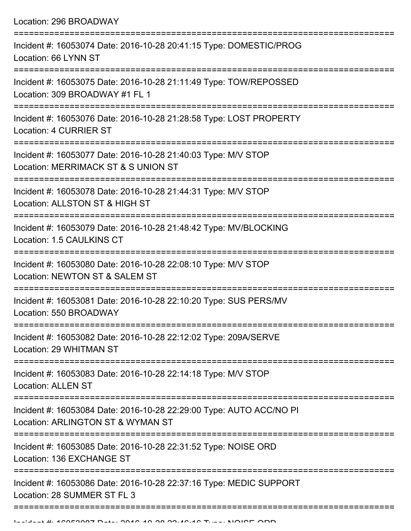| Location: 296 BROADWAY                                                                                                               |
|--------------------------------------------------------------------------------------------------------------------------------------|
| Incident #: 16053074 Date: 2016-10-28 20:41:15 Type: DOMESTIC/PROG<br>Location: 66 LYNN ST                                           |
| Incident #: 16053075 Date: 2016-10-28 21:11:49 Type: TOW/REPOSSED<br>Location: 309 BROADWAY #1 FL 1                                  |
| Incident #: 16053076 Date: 2016-10-28 21:28:58 Type: LOST PROPERTY<br>Location: 4 CURRIER ST                                         |
| Incident #: 16053077 Date: 2016-10-28 21:40:03 Type: M/V STOP<br>Location: MERRIMACK ST & S UNION ST                                 |
| Incident #: 16053078 Date: 2016-10-28 21:44:31 Type: M/V STOP<br>Location: ALLSTON ST & HIGH ST<br>================================= |
| Incident #: 16053079 Date: 2016-10-28 21:48:42 Type: MV/BLOCKING<br>Location: 1.5 CAULKINS CT                                        |
| Incident #: 16053080 Date: 2016-10-28 22:08:10 Type: M/V STOP<br>Location: NEWTON ST & SALEM ST                                      |
| Incident #: 16053081 Date: 2016-10-28 22:10:20 Type: SUS PERS/MV<br>Location: 550 BROADWAY<br>:==================================    |
| Incident #: 16053082 Date: 2016-10-28 22:12:02 Type: 209A/SERVE<br>Location: 29 WHITMAN ST                                           |
| ==================<br>Incident #: 16053083 Date: 2016-10-28 22:14:18 Type: M/V STOP<br><b>Location: ALLEN ST</b>                     |
| Incident #: 16053084 Date: 2016-10-28 22:29:00 Type: AUTO ACC/NO PI<br>Location: ARLINGTON ST & WYMAN ST                             |
| Incident #: 16053085 Date: 2016-10-28 22:31:52 Type: NOISE ORD<br>Location: 136 EXCHANGE ST                                          |
| Incident #: 16053086 Date: 2016-10-28 22:37:16 Type: MEDIC SUPPORT<br>Location: 28 SUMMER ST FL 3                                    |
|                                                                                                                                      |